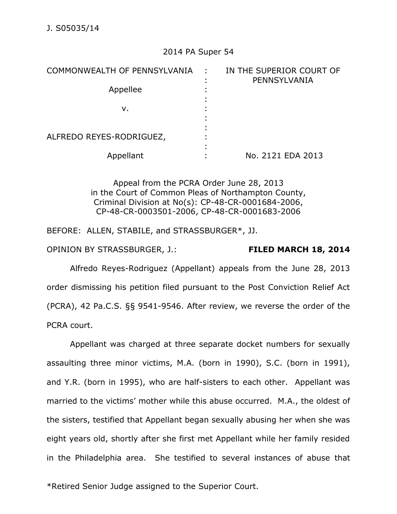## 2014 PA Super 54

| COMMONWEALTH OF PENNSYLVANIA | ÷ | IN THE SUPERIOR COURT OF<br>PENNSYLVANIA |
|------------------------------|---|------------------------------------------|
| Appellee                     |   |                                          |
| v.                           |   |                                          |
| ALFREDO REYES-RODRIGUEZ,     |   |                                          |
| Appellant                    |   | No. 2121 EDA 2013                        |

Appeal from the PCRA Order June 28, 2013 in the Court of Common Pleas of Northampton County, Criminal Division at No(s): CP-48-CR-0001684-2006, CP-48-CR-0003501-2006, CP-48-CR-0001683-2006

BEFORE: ALLEN, STABILE, and STRASSBURGER\*, JJ.

OPINION BY STRASSBURGER, J.: **FILED MARCH 18, 2014** 

Alfredo Reyes-Rodriguez (Appellant) appeals from the June 28, 2013 order dismissing his petition filed pursuant to the Post Conviction Relief Act (PCRA), 42 Pa.C.S. §§ 9541-9546. After review, we reverse the order of the PCRA court.

Appellant was charged at three separate docket numbers for sexually assaulting three minor victims, M.A. (born in 1990), S.C. (born in 1991), and Y.R. (born in 1995), who are half-sisters to each other. Appellant was married to the victims' mother while this abuse occurred. M.A., the oldest of the sisters, testified that Appellant began sexually abusing her when she was eight years old, shortly after she first met Appellant while her family resided in the Philadelphia area. She testified to several instances of abuse that

\*Retired Senior Judge assigned to the Superior Court.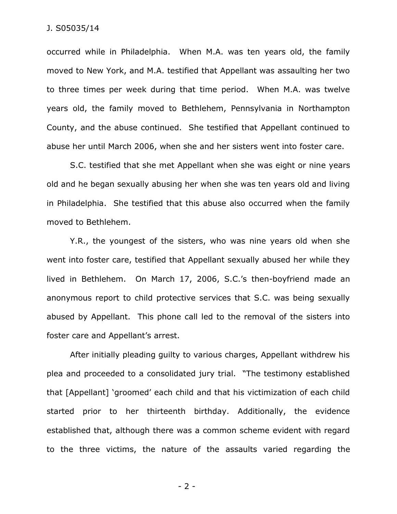occurred while in Philadelphia. When M.A. was ten years old, the family moved to New York, and M.A. testified that Appellant was assaulting her two to three times per week during that time period. When M.A. was twelve years old, the family moved to Bethlehem, Pennsylvania in Northampton County, and the abuse continued. She testified that Appellant continued to abuse her until March 2006, when she and her sisters went into foster care.

S.C. testified that she met Appellant when she was eight or nine years old and he began sexually abusing her when she was ten years old and living in Philadelphia. She testified that this abuse also occurred when the family moved to Bethlehem.

Y.R., the youngest of the sisters, who was nine years old when she went into foster care, testified that Appellant sexually abused her while they lived in Bethlehem. On March 17, 2006, S.C.'s then-boyfriend made an anonymous report to child protective services that S.C. was being sexually abused by Appellant. This phone call led to the removal of the sisters into foster care and Appellant's arrest.

After initially pleading guilty to various charges, Appellant withdrew his plea and proceeded to a consolidated jury trial. "The testimony established that [Appellant] 'groomed' each child and that his victimization of each child started prior to her thirteenth birthday. Additionally, the evidence established that, although there was a common scheme evident with regard to the three victims, the nature of the assaults varied regarding the

- 2 -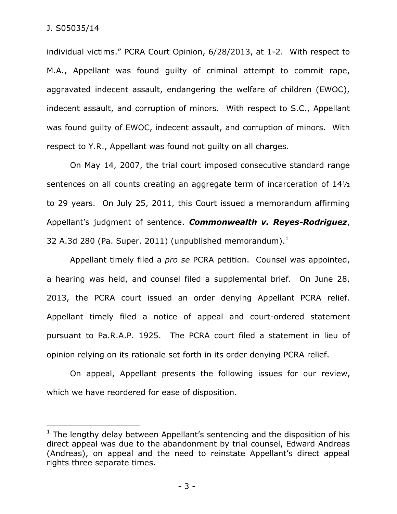$\overline{a}$ 

individual victims." PCRA Court Opinion, 6/28/2013, at 1-2. With respect to M.A., Appellant was found guilty of criminal attempt to commit rape, aggravated indecent assault, endangering the welfare of children (EWOC), indecent assault, and corruption of minors. With respect to S.C., Appellant was found guilty of EWOC, indecent assault, and corruption of minors. With respect to Y.R., Appellant was found not guilty on all charges.

On May 14, 2007, the trial court imposed consecutive standard range sentences on all counts creating an aggregate term of incarceration of 14½ to 29 years. On July 25, 2011, this Court issued a memorandum affirming Appellant's judgment of sentence. *Commonwealth v. Reyes-Rodriguez*, 32 A.3d 280 (Pa. Super. 2011) (unpublished memorandum). $^1$ 

Appellant timely filed a *pro se* PCRA petition. Counsel was appointed, a hearing was held, and counsel filed a supplemental brief. On June 28, 2013, the PCRA court issued an order denying Appellant PCRA relief. Appellant timely filed a notice of appeal and court-ordered statement pursuant to Pa.R.A.P. 1925. The PCRA court filed a statement in lieu of opinion relying on its rationale set forth in its order denying PCRA relief.

On appeal, Appellant presents the following issues for our review, which we have reordered for ease of disposition.

 $1$  The lengthy delay between Appellant's sentencing and the disposition of his direct appeal was due to the abandonment by trial counsel, Edward Andreas (Andreas), on appeal and the need to reinstate Appellant's direct appeal rights three separate times.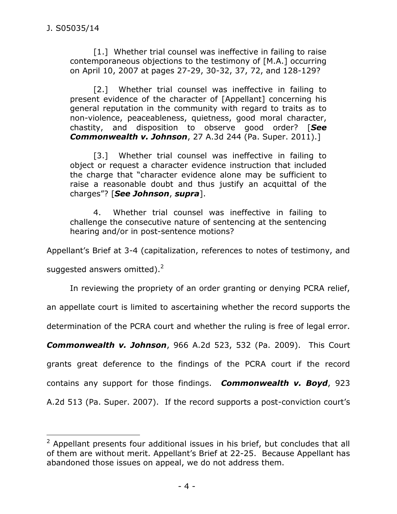[1.] Whether trial counsel was ineffective in failing to raise contemporaneous objections to the testimony of [M.A.] occurring on April 10, 2007 at pages 27-29, 30-32, 37, 72, and 128-129?

[2.] Whether trial counsel was ineffective in failing to present evidence of the character of [Appellant] concerning his general reputation in the community with regard to traits as to non-violence, peaceableness, quietness, good moral character, chastity, and disposition to observe good order? [*See Commonwealth v. Johnson*, 27 A.3d 244 (Pa. Super. 2011).]

[3.] Whether trial counsel was ineffective in failing to object or request a character evidence instruction that included the charge that "character evidence alone may be sufficient to raise a reasonable doubt and thus justify an acquittal of the charges"? [*See Johnson*, *supra*].

4. Whether trial counsel was ineffective in failing to challenge the consecutive nature of sentencing at the sentencing hearing and/or in post-sentence motions?

Appellant's Brief at 3-4 (capitalization, references to notes of testimony, and

suggested answers omitted). $2$ 

 $\overline{a}$ 

In reviewing the propriety of an order granting or denying PCRA relief,

an appellate court is limited to ascertaining whether the record supports the

determination of the PCRA court and whether the ruling is free of legal error.

*Commonwealth v. Johnson*, 966 A.2d 523, 532 (Pa. 2009). This Court

grants great deference to the findings of the PCRA court if the record contains any support for those findings. *Commonwealth v. Boyd*, 923

A.2d 513 (Pa. Super. 2007). If the record supports a post-conviction court's

<sup>&</sup>lt;sup>2</sup> Appellant presents four additional issues in his brief, but concludes that all of them are without merit. Appellant's Brief at 22-25. Because Appellant has abandoned those issues on appeal, we do not address them.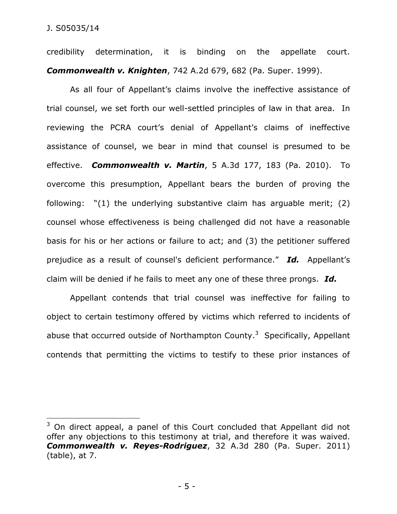$\overline{a}$ 

credibility determination, it is binding on the appellate court. *Commonwealth v. Knighten*, 742 A.2d 679, 682 (Pa. Super. 1999).

As all four of Appellant's claims involve the ineffective assistance of trial counsel, we set forth our well-settled principles of law in that area. In reviewing the PCRA court's denial of Appellant's claims of ineffective assistance of counsel, we bear in mind that counsel is presumed to be effective. *Commonwealth v. Martin*, 5 A.3d 177, 183 (Pa. 2010). To overcome this presumption, Appellant bears the burden of proving the following: "(1) the underlying substantive claim has arguable merit; (2) counsel whose effectiveness is being challenged did not have a reasonable basis for his or her actions or failure to act; and (3) the petitioner suffered prejudice as a result of counsel's deficient performance." *Id.* Appellant's claim will be denied if he fails to meet any one of these three prongs. *Id.*

Appellant contends that trial counsel was ineffective for failing to object to certain testimony offered by victims which referred to incidents of abuse that occurred outside of Northampton County.<sup>3</sup> Specifically, Appellant contends that permitting the victims to testify to these prior instances of

 $3$  On direct appeal, a panel of this Court concluded that Appellant did not offer any objections to this testimony at trial, and therefore it was waived. *Commonwealth v. Reyes-Rodriguez*, 32 A.3d 280 (Pa. Super. 2011) (table), at 7.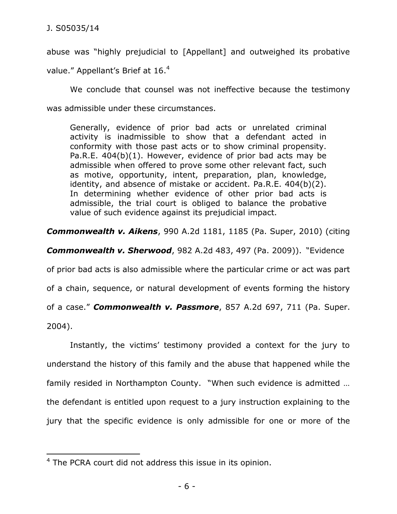$\overline{a}$ 

abuse was "highly prejudicial to [Appellant] and outweighed its probative value." Appellant's Brief at 16.<sup>4</sup>

We conclude that counsel was not ineffective because the testimony was admissible under these circumstances.

Generally, evidence of prior bad acts or unrelated criminal activity is inadmissible to show that a defendant acted in conformity with those past acts or to show criminal propensity. Pa.R.E. 404(b)(1). However, evidence of prior bad acts may be admissible when offered to prove some other relevant fact, such as motive, opportunity, intent, preparation, plan, knowledge, identity, and absence of mistake or accident. Pa.R.E. 404(b)(2). In determining whether evidence of other prior bad acts is admissible, the trial court is obliged to balance the probative value of such evidence against its prejudicial impact.

*Commonwealth v. Aikens*, 990 A.2d 1181, 1185 (Pa. Super, 2010) (citing

*Commonwealth v. Sherwood*, 982 A.2d 483, 497 (Pa. 2009)). "Evidence

of prior bad acts is also admissible where the particular crime or act was part of a chain, sequence, or natural development of events forming the history of a case." *Commonwealth v. Passmore*, 857 A.2d 697, 711 (Pa. Super. 2004).

Instantly, the victims' testimony provided a context for the jury to understand the history of this family and the abuse that happened while the family resided in Northampton County. "When such evidence is admitted … the defendant is entitled upon request to a jury instruction explaining to the jury that the specific evidence is only admissible for one or more of the

<sup>&</sup>lt;sup>4</sup> The PCRA court did not address this issue in its opinion.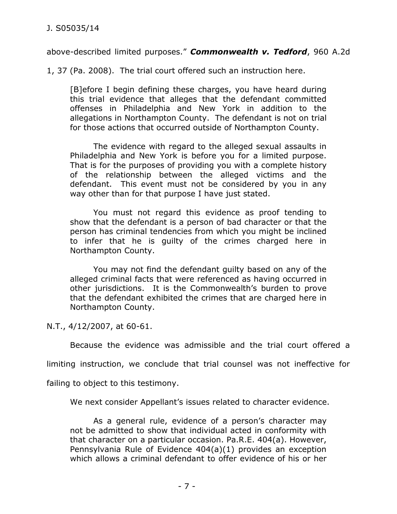above-described limited purposes." *Commonwealth v. Tedford*, 960 A.2d

1, 37 (Pa. 2008). The trial court offered such an instruction here.

[B]efore I begin defining these charges, you have heard during this trial evidence that alleges that the defendant committed offenses in Philadelphia and New York in addition to the allegations in Northampton County. The defendant is not on trial for those actions that occurred outside of Northampton County.

 The evidence with regard to the alleged sexual assaults in Philadelphia and New York is before you for a limited purpose. That is for the purposes of providing you with a complete history of the relationship between the alleged victims and the defendant. This event must not be considered by you in any way other than for that purpose I have just stated.

 You must not regard this evidence as proof tending to show that the defendant is a person of bad character or that the person has criminal tendencies from which you might be inclined to infer that he is guilty of the crimes charged here in Northampton County.

 You may not find the defendant guilty based on any of the alleged criminal facts that were referenced as having occurred in other jurisdictions. It is the Commonwealth's burden to prove that the defendant exhibited the crimes that are charged here in Northampton County.

N.T., 4/12/2007, at 60-61.

Because the evidence was admissible and the trial court offered a

limiting instruction, we conclude that trial counsel was not ineffective for

failing to object to this testimony.

We next consider Appellant's issues related to character evidence.

As a general rule, evidence of a person's character may not be admitted to show that individual acted in conformity with that character on a particular occasion. Pa.R.E. 404(a). However, Pennsylvania Rule of Evidence 404(a)(1) provides an exception which allows a criminal defendant to offer evidence of his or her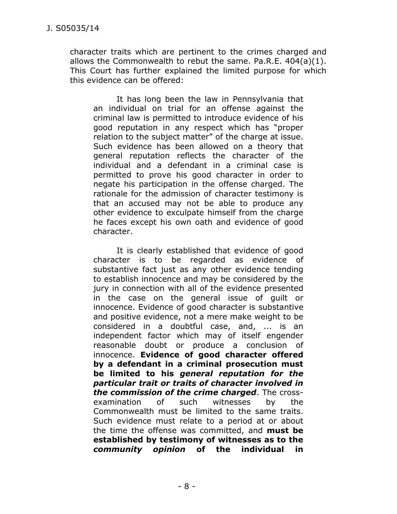character traits which are pertinent to the crimes charged and allows the Commonwealth to rebut the same. Pa.R.E. 404(a)(1). This Court has further explained the limited purpose for which this evidence can be offered:

It has long been the law in Pennsylvania that an individual on trial for an offense against the criminal law is permitted to introduce evidence of his good reputation in any respect which has "proper relation to the subject matter" of the charge at issue. Such evidence has been allowed on a theory that general reputation reflects the character of the individual and a defendant in a criminal case is permitted to prove his good character in order to negate his participation in the offense charged. The rationale for the admission of character testimony is that an accused may not be able to produce any other evidence to exculpate himself from the charge he faces except his own oath and evidence of good character.

It is clearly established that evidence of good character is to be regarded as evidence of substantive fact just as any other evidence tending to establish innocence and may be considered by the jury in connection with all of the evidence presented in the case on the general issue of guilt or innocence. Evidence of good character is substantive and positive evidence, not a mere make weight to be considered in a doubtful case, and, ... is an independent factor which may of itself engender reasonable doubt or produce a conclusion of innocence. **Evidence of good character offered by a defendant in a criminal prosecution must be limited to his** *general reputation for the particular trait or traits of character involved in the commission of the crime charged*. The crossexamination of such witnesses by the Commonwealth must be limited to the same traits. Such evidence must relate to a period at or about the time the offense was committed, and **must be established by testimony of witnesses as to the**  *community opinion* **of the individual in**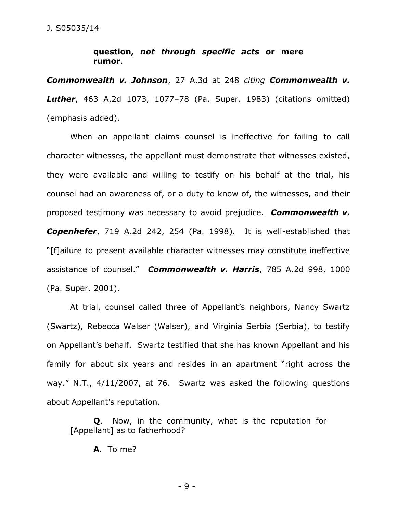## **question,** *not through specific acts* **or mere rumor**.

*Commonwealth v. Johnson*, 27 A.3d at 248 *citing Commonwealth v. Luther*, 463 A.2d 1073, 1077–78 (Pa. Super. 1983) (citations omitted) (emphasis added).

When an appellant claims counsel is ineffective for failing to call character witnesses, the appellant must demonstrate that witnesses existed, they were available and willing to testify on his behalf at the trial, his counsel had an awareness of, or a duty to know of, the witnesses, and their proposed testimony was necessary to avoid prejudice. *Commonwealth v. Copenhefer*, 719 A.2d 242, 254 (Pa. 1998). It is well-established that "[f]ailure to present available character witnesses may constitute ineffective assistance of counsel." *Commonwealth v. Harris*, 785 A.2d 998, 1000 (Pa. Super. 2001).

At trial, counsel called three of Appellant's neighbors, Nancy Swartz (Swartz), Rebecca Walser (Walser), and Virginia Serbia (Serbia), to testify on Appellant's behalf. Swartz testified that she has known Appellant and his family for about six years and resides in an apartment "right across the way." N.T., 4/11/2007, at 76. Swartz was asked the following questions about Appellant's reputation.

**Q**. Now, in the community, what is the reputation for [Appellant] as to fatherhood?

**A**. To me?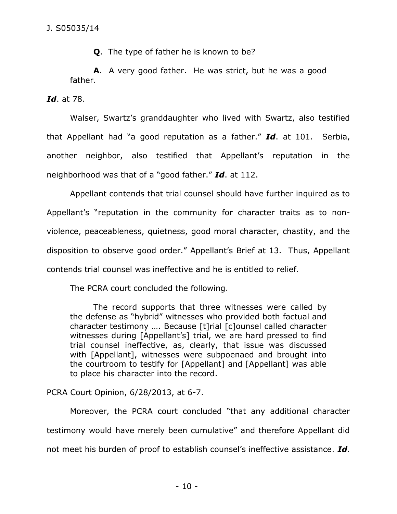**Q**. The type of father he is known to be?

**A**. A very good father. He was strict, but he was a good father.

*Id*. at 78.

Walser, Swartz's granddaughter who lived with Swartz, also testified that Appellant had "a good reputation as a father." *Id*. at 101. Serbia, another neighbor, also testified that Appellant's reputation in the neighborhood was that of a "good father." *Id*. at 112.

Appellant contends that trial counsel should have further inquired as to Appellant's "reputation in the community for character traits as to nonviolence, peaceableness, quietness, good moral character, chastity, and the disposition to observe good order." Appellant's Brief at 13. Thus, Appellant contends trial counsel was ineffective and he is entitled to relief.

The PCRA court concluded the following.

The record supports that three witnesses were called by the defense as "hybrid" witnesses who provided both factual and character testimony …. Because [t]rial [c]ounsel called character witnesses during [Appellant's] trial, we are hard pressed to find trial counsel ineffective, as, clearly, that issue was discussed with [Appellant], witnesses were subpoenaed and brought into the courtroom to testify for [Appellant] and [Appellant] was able to place his character into the record.

PCRA Court Opinion, 6/28/2013, at 6-7.

Moreover, the PCRA court concluded "that any additional character testimony would have merely been cumulative" and therefore Appellant did not meet his burden of proof to establish counsel's ineffective assistance. *Id*.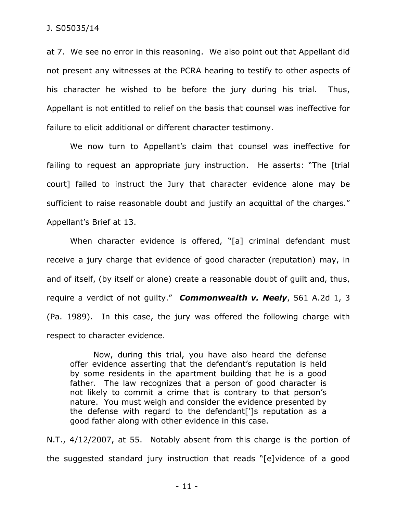at 7. We see no error in this reasoning. We also point out that Appellant did not present any witnesses at the PCRA hearing to testify to other aspects of his character he wished to be before the jury during his trial. Thus, Appellant is not entitled to relief on the basis that counsel was ineffective for failure to elicit additional or different character testimony.

We now turn to Appellant's claim that counsel was ineffective for failing to request an appropriate jury instruction. He asserts: "The [trial court] failed to instruct the Jury that character evidence alone may be sufficient to raise reasonable doubt and justify an acquittal of the charges." Appellant's Brief at 13.

When character evidence is offered, "[a] criminal defendant must receive a jury charge that evidence of good character (reputation) may, in and of itself, (by itself or alone) create a reasonable doubt of guilt and, thus, require a verdict of not guilty." *Commonwealth v. Neely*, 561 A.2d 1, 3 (Pa. 1989). In this case, the jury was offered the following charge with respect to character evidence.

Now, during this trial, you have also heard the defense offer evidence asserting that the defendant's reputation is held by some residents in the apartment building that he is a good father. The law recognizes that a person of good character is not likely to commit a crime that is contrary to that person's nature. You must weigh and consider the evidence presented by the defense with regard to the defendant[']s reputation as a good father along with other evidence in this case.

N.T., 4/12/2007, at 55. Notably absent from this charge is the portion of the suggested standard jury instruction that reads "[e]vidence of a good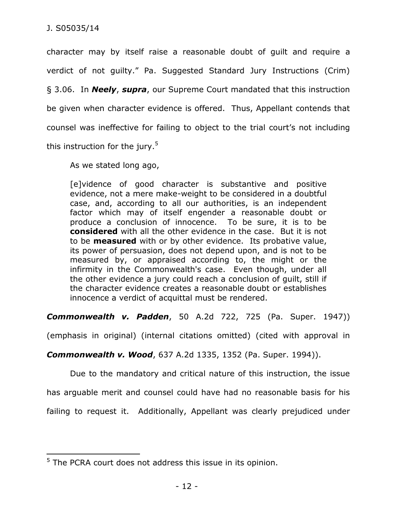$\overline{a}$ 

character may by itself raise a reasonable doubt of guilt and require a verdict of not guilty." Pa. Suggested Standard Jury Instructions (Crim)

§ 3.06. In *Neely*, *supra*, our Supreme Court mandated that this instruction be given when character evidence is offered. Thus, Appellant contends that counsel was ineffective for failing to object to the trial court's not including this instruction for the jury. $^5\,$ 

As we stated long ago,

[e]vidence of good character is substantive and positive evidence, not a mere make-weight to be considered in a doubtful case, and, according to all our authorities, is an independent factor which may of itself engender a reasonable doubt or produce a conclusion of innocence. To be sure, it is to be **considered** with all the other evidence in the case. But it is not to be **measured** with or by other evidence. Its probative value, its power of persuasion, does not depend upon, and is not to be measured by, or appraised according to, the might or the infirmity in the Commonwealth's case. Even though, under all the other evidence a jury could reach a conclusion of guilt, still if the character evidence creates a reasonable doubt or establishes innocence a verdict of acquittal must be rendered.

*Commonwealth v. Padden*, 50 A.2d 722, 725 (Pa. Super. 1947))

(emphasis in original) (internal citations omitted) (cited with approval in

*Commonwealth v. Wood*, 637 A.2d 1335, 1352 (Pa. Super. 1994)).

Due to the mandatory and critical nature of this instruction, the issue

has arguable merit and counsel could have had no reasonable basis for his

failing to request it. Additionally, Appellant was clearly prejudiced under

<sup>&</sup>lt;sup>5</sup> The PCRA court does not address this issue in its opinion.